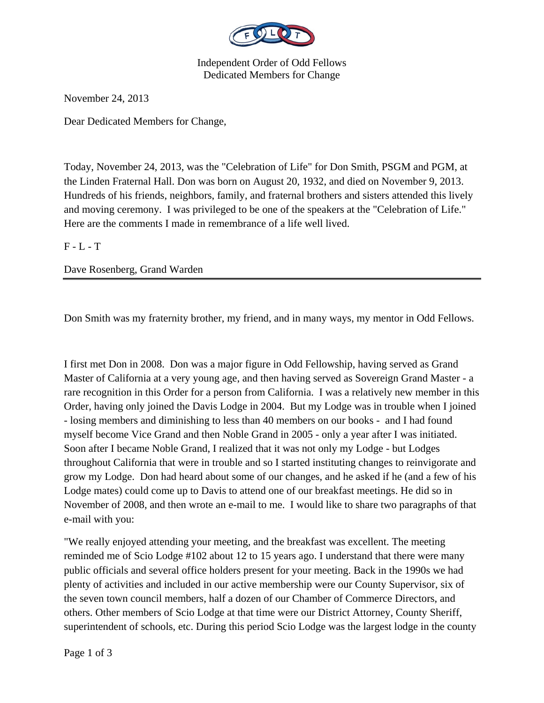

Independent Order of Odd Fellows Dedicated Members for Change

November 24, 2013

Dear Dedicated Members for Change,

Today, November 24, 2013, was the "Celebration of Life" for Don Smith, PSGM and PGM, at the Linden Fraternal Hall. Don was born on August 20, 1932, and died on November 9, 2013. Hundreds of his friends, neighbors, family, and fraternal brothers and sisters attended this lively and moving ceremony. I was privileged to be one of the speakers at the "Celebration of Life." Here are the comments I made in remembrance of a life well lived.

 $F - L - T$ 

Dave Rosenberg, Grand Warden

Don Smith was my fraternity brother, my friend, and in many ways, my mentor in Odd Fellows.

I first met Don in 2008. Don was a major figure in Odd Fellowship, having served as Grand Master of California at a very young age, and then having served as Sovereign Grand Master - a rare recognition in this Order for a person from California. I was a relatively new member in this Order, having only joined the Davis Lodge in 2004. But my Lodge was in trouble when I joined - losing members and diminishing to less than 40 members on our books - and I had found myself become Vice Grand and then Noble Grand in 2005 - only a year after I was initiated. Soon after I became Noble Grand, I realized that it was not only my Lodge - but Lodges throughout California that were in trouble and so I started instituting changes to reinvigorate and grow my Lodge. Don had heard about some of our changes, and he asked if he (and a few of his Lodge mates) could come up to Davis to attend one of our breakfast meetings. He did so in November of 2008, and then wrote an e-mail to me. I would like to share two paragraphs of that e-mail with you:

"We really enjoyed attending your meeting, and the breakfast was excellent. The meeting reminded me of Scio Lodge #102 about 12 to 15 years ago. I understand that there were many public officials and several office holders present for your meeting. Back in the 1990s we had plenty of activities and included in our active membership were our County Supervisor, six of the seven town council members, half a dozen of our Chamber of Commerce Directors, and others. Other members of Scio Lodge at that time were our District Attorney, County Sheriff, superintendent of schools, etc. During this period Scio Lodge was the largest lodge in the county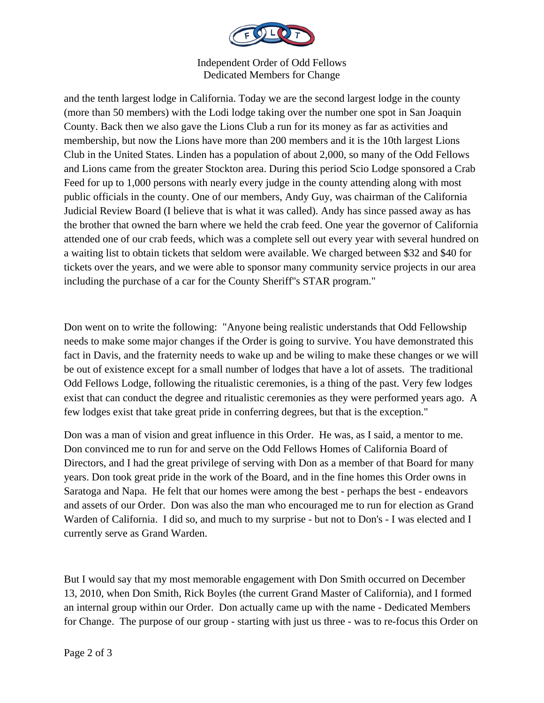

## Independent Order of Odd Fellows Dedicated Members for Change

and the tenth largest lodge in California. Today we are the second largest lodge in the county (more than 50 members) with the Lodi lodge taking over the number one spot in San Joaquin County. Back then we also gave the Lions Club a run for its money as far as activities and membership, but now the Lions have more than 200 members and it is the 10th largest Lions Club in the United States. Linden has a population of about 2,000, so many of the Odd Fellows and Lions came from the greater Stockton area. During this period Scio Lodge sponsored a Crab Feed for up to 1,000 persons with nearly every judge in the county attending along with most public officials in the county. One of our members, Andy Guy, was chairman of the California Judicial Review Board (I believe that is what it was called). Andy has since passed away as has the brother that owned the barn where we held the crab feed. One year the governor of California attended one of our crab feeds, which was a complete sell out every year with several hundred on a waiting list to obtain tickets that seldom were available. We charged between \$32 and \$40 for tickets over the years, and we were able to sponsor many community service projects in our area including the purchase of a car for the County Sheriff''s STAR program."

Don went on to write the following: "Anyone being realistic understands that Odd Fellowship needs to make some major changes if the Order is going to survive. You have demonstrated this fact in Davis, and the fraternity needs to wake up and be wiling to make these changes or we will be out of existence except for a small number of lodges that have a lot of assets. The traditional Odd Fellows Lodge, following the ritualistic ceremonies, is a thing of the past. Very few lodges exist that can conduct the degree and ritualistic ceremonies as they were performed years ago. A few lodges exist that take great pride in conferring degrees, but that is the exception."

Don was a man of vision and great influence in this Order. He was, as I said, a mentor to me. Don convinced me to run for and serve on the Odd Fellows Homes of California Board of Directors, and I had the great privilege of serving with Don as a member of that Board for many years. Don took great pride in the work of the Board, and in the fine homes this Order owns in Saratoga and Napa. He felt that our homes were among the best - perhaps the best - endeavors and assets of our Order. Don was also the man who encouraged me to run for election as Grand Warden of California. I did so, and much to my surprise - but not to Don's - I was elected and I currently serve as Grand Warden.

But I would say that my most memorable engagement with Don Smith occurred on December 13, 2010, when Don Smith, Rick Boyles (the current Grand Master of California), and I formed an internal group within our Order. Don actually came up with the name - Dedicated Members for Change. The purpose of our group - starting with just us three - was to re-focus this Order on